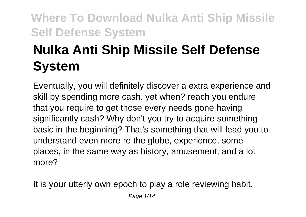# **Nulka Anti Ship Missile Self Defense System**

Eventually, you will definitely discover a extra experience and skill by spending more cash. yet when? reach you endure that you require to get those every needs gone having significantly cash? Why don't you try to acquire something basic in the beginning? That's something that will lead you to understand even more re the globe, experience, some places, in the same way as history, amusement, and a lot more?

It is your utterly own epoch to play a role reviewing habit.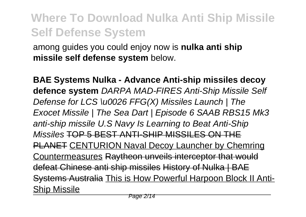among guides you could enjoy now is **nulka anti ship missile self defense system** below.

**BAE Systems Nulka - Advance Anti-ship missiles decoy defence system** DARPA MAD-FIRES Anti-Ship Missile Self Defense for LCS \u0026 FFG(X) Missiles Launch | The Exocet Missile | The Sea Dart | Episode 6 SAAB RBS15 Mk3 anti-ship missile U.S Navy Is Learning to Beat Anti-Ship Missiles TOP 5 BEST ANTI-SHIP MISSILES ON THE PLANET CENTURION Naval Decoy Launcher by Chemring Countermeasures Raytheon unveils interceptor that would defeat Chinese anti ship missiles History of Nulka | BAE Systems Australia This is How Powerful Harpoon Block II Anti-Ship Missile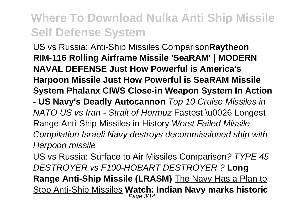US vs Russia: Anti-Ship Missiles Comparison**Raytheon RIM-116 Rolling Airframe Missile 'SeaRAM' | MODERN NAVAL DEFENSE Just How Powerful is America's Harpoon Missile Just How Powerful is SeaRAM Missile System Phalanx CIWS Close-in Weapon System In Action - US Navy's Deadly Autocannon** Top 10 Cruise Missiles in NATO US vs Iran - Strait of Hormuz Fastest \u0026 Longest Range Anti-Ship Missiles in History Worst Failed Missile Compilation Israeli Navy destroys decommissioned ship with Harpoon missile

US vs Russia: Surface to Air Missiles Comparison? TYPE 45 DESTROYER vs F100-HOBART DESTROYER ? **Long Range Anti-Ship Missile (LRASM)** The Navy Has a Plan to Stop Anti-Ship Missiles **Watch: Indian Navy marks historic** Page 3/14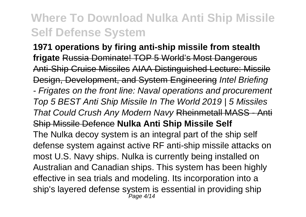**1971 operations by firing anti-ship missile from stealth frigate** Russia Dominate! TOP 5 World's Most Dangerous Anti-Ship Cruise Missiles AIAA Distinguished Lecture: Missile Design, Development, and System Engineering Intel Briefing - Frigates on the front line: Naval operations and procurement Top 5 BEST Anti Ship Missile In The World 2019 | 5 Missiles That Could Crush Any Modern Navy Rheinmetall MASS - Anti Ship Missile Defence **Nulka Anti Ship Missile Self** The Nulka decoy system is an integral part of the ship self defense system against active RF anti-ship missile attacks on most U.S. Navy ships. Nulka is currently being installed on Australian and Canadian ships. This system has been highly effective in sea trials and modeling. Its incorporation into a ship's layered defense system is essential in providing ship<br>Page 4/14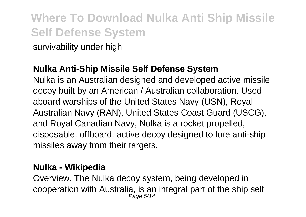survivability under high

#### **Nulka Anti-Ship Missile Self Defense System**

Nulka is an Australian designed and developed active missile decoy built by an American / Australian collaboration. Used aboard warships of the United States Navy (USN), Royal Australian Navy (RAN), United States Coast Guard (USCG), and Royal Canadian Navy, Nulka is a rocket propelled, disposable, offboard, active decoy designed to lure anti-ship missiles away from their targets.

#### **Nulka - Wikipedia**

Overview. The Nulka decoy system, being developed in cooperation with Australia, is an integral part of the ship self Page 5/14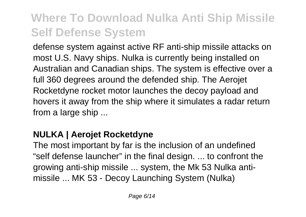defense system against active RF anti-ship missile attacks on most U.S. Navy ships. Nulka is currently being installed on Australian and Canadian ships. The system is effective over a full 360 degrees around the defended ship. The Aerojet Rocketdyne rocket motor launches the decoy payload and hovers it away from the ship where it simulates a radar return from a large ship ...

### **NULKA | Aerojet Rocketdyne**

The most important by far is the inclusion of an undefined "self defense launcher" in the final design. ... to confront the growing anti-ship missile ... system, the Mk 53 Nulka antimissile ... MK 53 - Decoy Launching System (Nulka)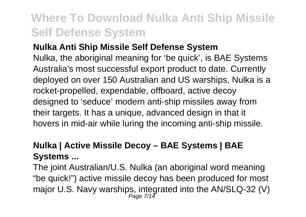### **Nulka Anti Ship Missile Self Defense System**

Nulka, the aboriginal meaning for 'be quick', is BAE Systems Australia's most successful export product to date. Currently deployed on over 150 Australian and US warships, Nulka is a rocket-propelled, expendable, offboard, active decoy designed to 'seduce' modern anti-ship missiles away from their targets. It has a unique, advanced design in that it hovers in mid-air while luring the incoming anti-ship missile.

### **Nulka | Active Missile Decoy – BAE Systems | BAE Systems ...**

The joint Australian/U.S. Nulka (an aboriginal word meaning "be quick!") active missile decoy has been produced for most major U.S. Navy warships, integrated into the AN/SLQ-32 (V)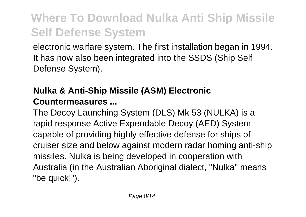electronic warfare system. The first installation began in 1994. It has now also been integrated into the SSDS (Ship Self Defense System).

### **Nulka & Anti-Ship Missile (ASM) Electronic Countermeasures ...**

The Decoy Launching System (DLS) Mk 53 (NULKA) is a rapid response Active Expendable Decoy (AED) System capable of providing highly effective defense for ships of cruiser size and below against modern radar homing anti-ship missiles. Nulka is being developed in cooperation with Australia (in the Australian Aboriginal dialect, "Nulka" means "be quick!").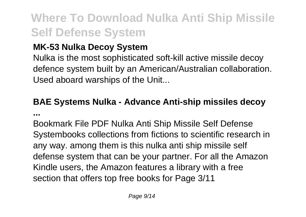### **MK-53 Nulka Decoy System**

Nulka is the most sophisticated soft-kill active missile decoy defence system built by an American/Australian collaboration. Used aboard warships of the Unit...

### **BAE Systems Nulka - Advance Anti-ship missiles decoy ...**

Bookmark File PDF Nulka Anti Ship Missile Self Defense Systembooks collections from fictions to scientific research in any way. among them is this nulka anti ship missile self defense system that can be your partner. For all the Amazon Kindle users, the Amazon features a library with a free section that offers top free books for Page 3/11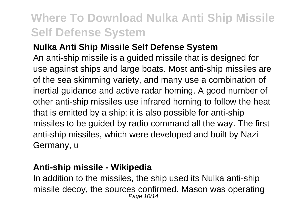### **Nulka Anti Ship Missile Self Defense System**

An anti-ship missile is a guided missile that is designed for use against ships and large boats. Most anti-ship missiles are of the sea skimming variety, and many use a combination of inertial guidance and active radar homing. A good number of other anti-ship missiles use infrared homing to follow the heat that is emitted by a ship; it is also possible for anti-ship missiles to be guided by radio command all the way. The first anti-ship missiles, which were developed and built by Nazi Germany, u

### **Anti-ship missile - Wikipedia**

In addition to the missiles, the ship used its Nulka anti-ship missile decoy, the sources confirmed. Mason was operating Page 10/14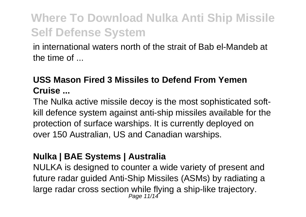in international waters north of the strait of Bab el-Mandeb at the time of ...

### **USS Mason Fired 3 Missiles to Defend From Yemen Cruise ...**

The Nulka active missile decoy is the most sophisticated softkill defence system against anti-ship missiles available for the protection of surface warships. It is currently deployed on over 150 Australian, US and Canadian warships.

### **Nulka | BAE Systems | Australia**

NULKA is designed to counter a wide variety of present and future radar guided Anti-Ship Missiles (ASMs) by radiating a large radar cross section while flying a ship-like trajectory.<br> $P_{\text{age 11/14}}$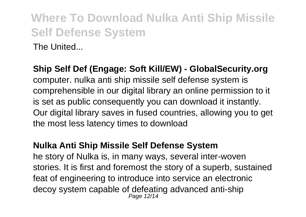The United...

**Ship Self Def (Engage: Soft Kill/EW) - GlobalSecurity.org**

computer. nulka anti ship missile self defense system is comprehensible in our digital library an online permission to it is set as public consequently you can download it instantly. Our digital library saves in fused countries, allowing you to get the most less latency times to download

#### **Nulka Anti Ship Missile Self Defense System**

he story of Nulka is, in many ways, several inter-woven stories. It is first and foremost the story of a superb, sustained feat of engineering to introduce into service an electronic decoy system capable of defeating advanced anti-ship Page 12/14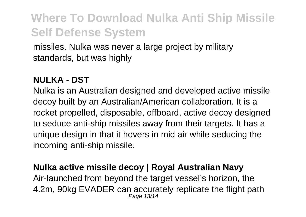missiles. Nulka was never a large project by military standards, but was highly

#### **NULKA - DST**

Nulka is an Australian designed and developed active missile decoy built by an Australian/American collaboration. It is a rocket propelled, disposable, offboard, active decoy designed to seduce anti-ship missiles away from their targets. It has a unique design in that it hovers in mid air while seducing the incoming anti-ship missile.

#### **Nulka active missile decoy | Royal Australian Navy**

Air-launched from beyond the target vessel's horizon, the 4.2m, 90kg EVADER can accurately replicate the flight path Page 13/14